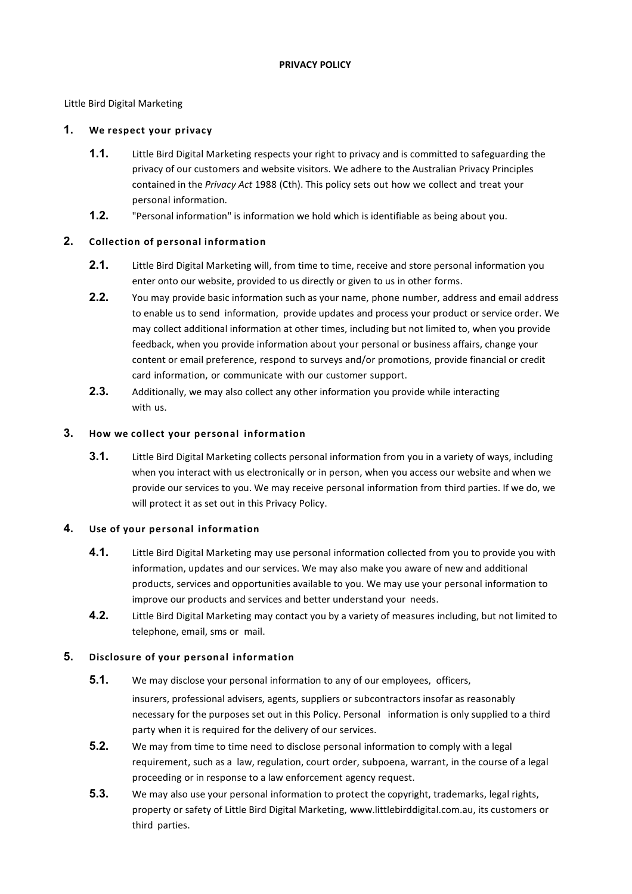Little Bird Digital Marketing

# **1. We respect your privacy**

- **1.1.** Little Bird Digital Marketing respects your right to privacy and is committed to safeguarding the privacy of our customers and website visitors. We adhere to the Australian Privacy Principles contained in the *Privacy Act* 1988 (Cth). This policy sets out how we collect and treat your personal information.
- **1.2.** "Personal information" is information we hold which is identifiable as being about you.

# **2. Collection of personal information**

- **2.1.** Little Bird Digital Marketing will, from time to time, receive and store personal information you enter onto our website, provided to us directly or given to us in other forms.
- **2.2.** You may provide basic information such as your name, phone number, address and email address to enable us to send information, provide updates and process your product or service order. We may collect additional information at other times, including but not limited to, when you provide feedback, when you provide information about your personal or business affairs, change your content or email preference, respond to surveys and/or promotions, provide financial or credit card information, or communicate with our customer support.
- **2.3.** Additionally, we may also collect any other information you provide while interacting with us.

### **3. How we collect your personal information**

**3.1.** Little Bird Digital Marketing collects personal information from you in a variety of ways, including when you interact with us electronically or in person, when you access our website and when we provide our services to you. We may receive personal information from third parties. If we do, we will protect it as set out in this Privacy Policy.

### **4. Use of your personal information**

- **4.1.** Little Bird Digital Marketing may use personal information collected from you to provide you with information, updates and our services. We may also make you aware of new and additional products, services and opportunities available to you. We may use your personal information to improve our products and services and better understand your needs.
- **4.2.** Little Bird Digital Marketing may contact you by a variety of measures including, but not limited to telephone, email, sms or mail.

# **5. Disclosure of your personal information**

- **5.1.** We may disclose your personal information to any of our employees, officers, insurers, professional advisers, agents, suppliers or subcontractors insofar as reasonably necessary for the purposes set out in this Policy. Personal information is only supplied to a third party when it is required for the delivery of our services.
- **5.2.** We may from time to time need to disclose personal information to comply with a legal requirement, such as a law, regulation, court order, subpoena, warrant, in the course of a legal proceeding or in response to a law enforcement agency request.
- **5.3.** We may also use your personal information to protect the copyright, trademarks, legal rights, property or safety of Little Bird Digital Marketing, [www.littlebirddigital.com.au, it](http://www.littlebirddigital.com.au/)s customers or third parties.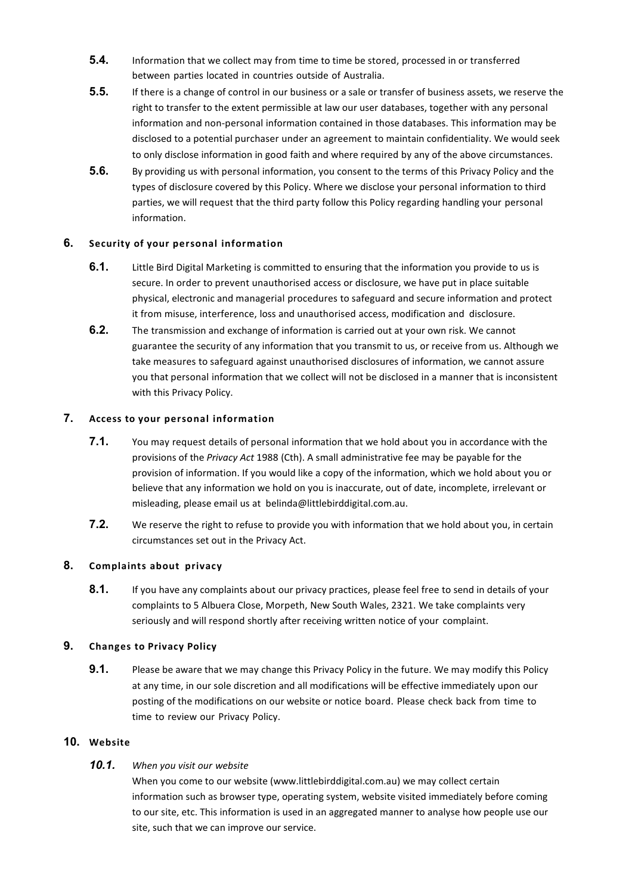- **5.4.** Information that we collect may from time to time be stored, processed in or transferred between parties located in countries outside of Australia.
- **5.5.** If there is a change of control in our business or a sale or transfer of business assets, we reserve the right to transfer to the extent permissible at law our user databases, together with any personal information and non-personal information contained in those databases. This information may be disclosed to a potential purchaser under an agreement to maintain confidentiality. We would seek to only disclose information in good faith and where required by any of the above circumstances.
- **5.6.** By providing us with personal information, you consent to the terms of this Privacy Policy and the types of disclosure covered by this Policy. Where we disclose your personal information to third parties, we will request that the third party follow this Policy regarding handling your personal information.

### **6. Security of your personal information**

- **6.1.** Little Bird Digital Marketing is committed to ensuring that the information you provide to us is secure. In order to prevent unauthorised access or disclosure, we have put in place suitable physical, electronic and managerial procedures to safeguard and secure information and protect it from misuse, interference, loss and unauthorised access, modification and disclosure.
- **6.2.** The transmission and exchange of information is carried out at your own risk. We cannot guarantee the security of any information that you transmit to us, or receive from us. Although we take measures to safeguard against unauthorised disclosures of information, we cannot assure you that personal information that we collect will not be disclosed in a manner that is inconsistent with this Privacy Policy.

### **7. Access to your personal information**

- **7.1.** You may request details of personal information that we hold about you in accordance with the provisions of the *Privacy Act* 1988 (Cth). A small administrative fee may be payable for the provision of information. If you would like a copy of the information, which we hold about you or believe that any information we hold on you is inaccurate, out of date, incomplete, irrelevant or misleading, please email us at [belinda@littlebirddigital.com.au.](mailto:belinda@littlebirddigital.com.au)
- **7.2.** We reserve the right to refuse to provide you with information that we hold about you, in certain circumstances set out in the Privacy Act.

### **8. Complaints about privacy**

**8.1.** If you have any complaints about our privacy practices, please feel free to send in details of your complaints to 5 Albuera Close, Morpeth, New South Wales, 2321. We take complaints very seriously and will respond shortly after receiving written notice of your complaint.

### **9. Changes to Privacy Policy**

**9.1.** Please be aware that we may change this Privacy Policy in the future. We may modify this Policy at any time, in our sole discretion and all modifications will be effective immediately upon our posting of the modifications on our website or notice board. Please check back from time to time to review our Privacy Policy.

### **10. Website**

# *10.1. When you visit our website*

When you come to our website (www.littlebirddigital.com.au) we may collect certain information such as browser type, operating system, website visited immediately before coming to our site, etc. This information is used in an aggregated manner to analyse how people use our site, such that we can improve our service.